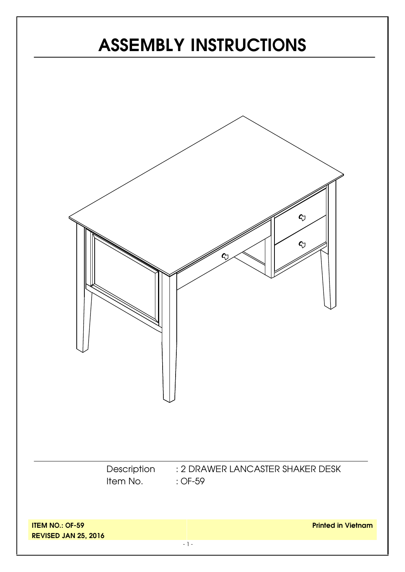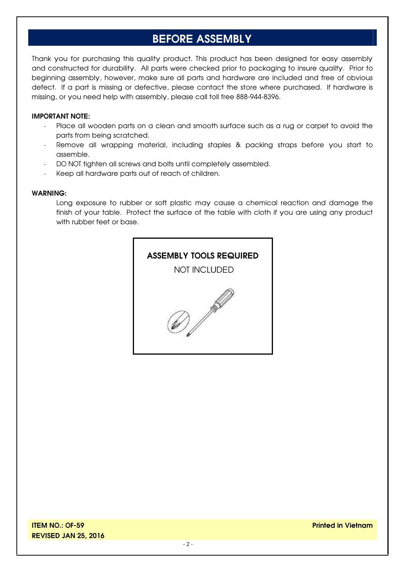## **BEFORE ASSEMBLY**

Thank you for purchasing this quality product. This product has been designed for easy assembly and constructed for durability. All parts were checked prior to packaging to insure quality. Prior to beginning assembly, however, make sure all parts and hardware are included and free of obvious defect. If a part is missing or defective, please contact the store where purchased. If hardware is missing, or you need help with assembly, please call toll free 888-944-8396.

#### **IMPORTANT NOTE:**

- Place all wooden parts on a clean and smooth surface such as a rug or carpet to avoid the parts from being scratched.
- Remove all wrapping material, including staples & packing straps before you start to assemble.
- DO NOT tighten all screws and bolts until completely assembled.
- Keep all hardware parts out of reach of children.

#### **WARNING:**

Long exposure to rubber or soft plastic may cause a chemical reaction and damage the finish of your table. Protect the surface of the table with cloth if you are using any product with rubber feet or base.

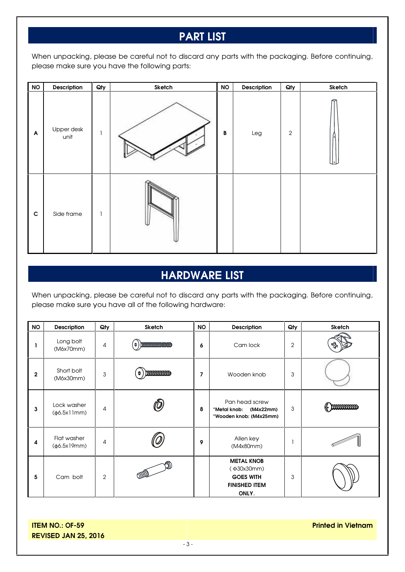## **PART LIST**

When unpacking, please be careful not to discard any parts with the packaging. Before continuing, please make sure you have the following parts:

| <b>NO</b>                 | Description        | Qty | Sketch | <b>NO</b>    | Description | Qty        | Sketch |
|---------------------------|--------------------|-----|--------|--------------|-------------|------------|--------|
| $\boldsymbol{\mathsf{A}}$ | Upper desk<br>unit |     |        | $\, {\bf B}$ | Leg         | $\sqrt{2}$ |        |
| $\mathbf c$               | Side frame         | 1   |        |              |             |            |        |

## **HARDWARE LIST**

When unpacking, please be careful not to discard any parts with the packaging. Before continuing, please make sure you have all of the following hardware:

| <b>NO</b>    | <b>Description</b>               | Qty            | <b>Sketch</b>              | <b>NO</b> | Description                                                                                      | Qty            | <b>Sketch</b>     |
|--------------|----------------------------------|----------------|----------------------------|-----------|--------------------------------------------------------------------------------------------------|----------------|-------------------|
|              | Long bolt<br>(M6x70mm)           | 4              | $\phi$ ) minimining $\phi$ | 6         | Cam lock                                                                                         | $\overline{2}$ |                   |
| $\mathbf{2}$ | Short bolt<br>(M6x30mm)          | 3              | <i>mmmm</i>                | 7         | Wooden knob                                                                                      | 3              |                   |
| 3            | Lock washer<br>$(\phi 6.5x11mm)$ | 4              |                            | 8         | Pan head screw<br>*Metal knob:<br>(M4x22mm)<br>*Wooden knob: (M4x25mm)                           | 3              | <b>bootoooooo</b> |
| 4            | Flat washer<br>(φ6.5x19mm)       | 4              |                            | 9         | Allen key<br>(M4x80mm)                                                                           |                |                   |
| 5            | Cam bolt                         | $\overline{2}$ |                            |           | <b>METAL KNOB</b><br>$($ $\Phi$ 30x30mm $)$<br><b>GOES WITH</b><br><b>FINISHED ITEM</b><br>ONLY. | 3              |                   |

**ITEM NO.: OF-59 REVISED JAN 25, 2016** **Printed in Vietnam**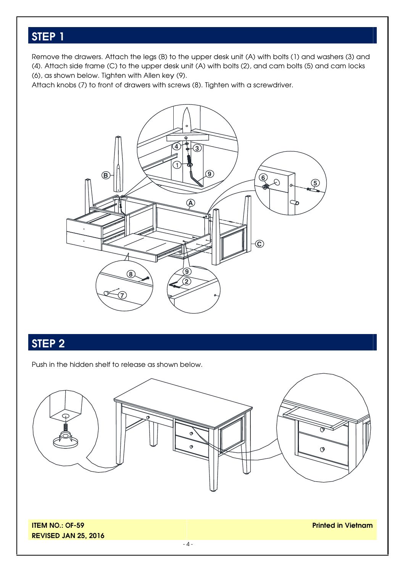# **STEP 1**

Remove the drawers. Attach the legs (B) to the upper desk unit (A) with bolts (1) and washers (3) and (4). Attach side frame (C) to the upper desk unit (A) with bolts (2), and cam bolts (5) and cam locks (6), as shown below. Tighten with Allen key (9).

Attach knobs (7) to front of drawers with screws (8). Tighten with a screwdriver.



# **STEP 2**

Push in the hidden shelf to release as shown below.